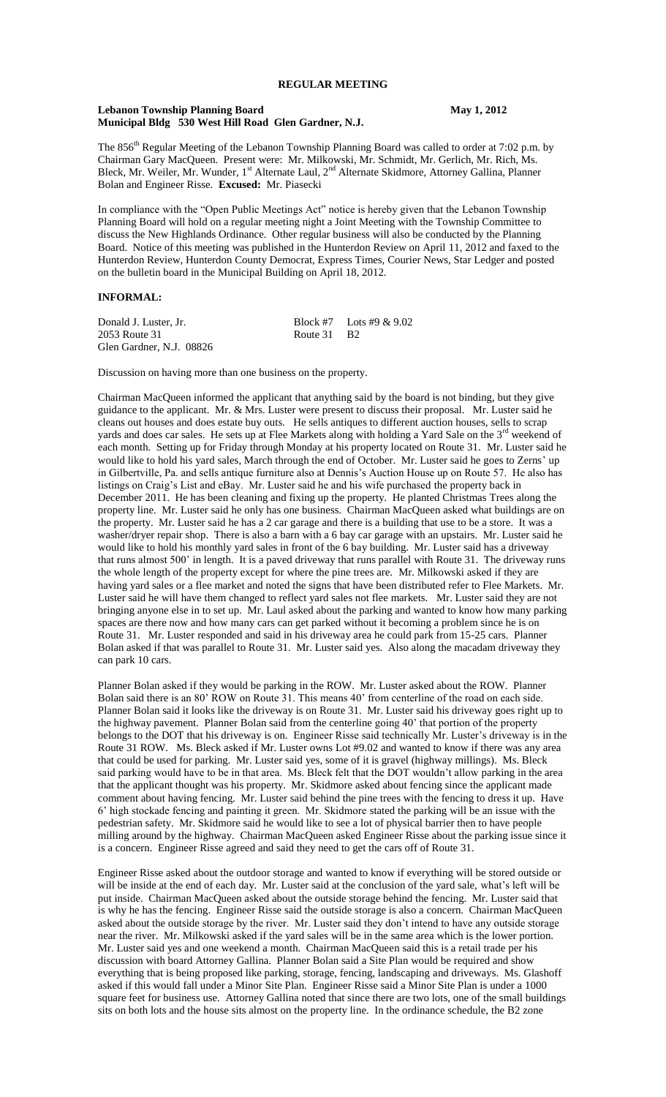#### **Lebanon Township Planning Board May 1, 2012 Municipal Bldg 530 West Hill Road Glen Gardner, N.J.**

The 856<sup>th</sup> Regular Meeting of the Lebanon Township Planning Board was called to order at 7:02 p.m. by Chairman Gary MacQueen. Present were: Mr. Milkowski, Mr. Schmidt, Mr. Gerlich, Mr. Rich, Ms. Bleck, Mr. Weiler, Mr. Wunder, 1<sup>st</sup> Alternate Laul, 2<sup>nd</sup> Alternate Skidmore, Attorney Gallina, Planner Bolan and Engineer Risse. **Excused:** Mr. Piasecki

In compliance with the "Open Public Meetings Act" notice is hereby given that the Lebanon Township Planning Board will hold on a regular meeting night a Joint Meeting with the Township Committee to discuss the New Highlands Ordinance. Other regular business will also be conducted by the Planning Board. Notice of this meeting was published in the Hunterdon Review on April 11, 2012 and faxed to the Hunterdon Review, Hunterdon County Democrat, Express Times, Courier News, Star Ledger and posted on the bulletin board in the Municipal Building on April 18, 2012.

## **INFORMAL:**

Donald J. Luster, Jr. Block #7 Lots #9 & 9.02 2053 Route 31 Route 31 B2 Glen Gardner, N.J. 08826

Discussion on having more than one business on the property.

Chairman MacQueen informed the applicant that anything said by the board is not binding, but they give guidance to the applicant. Mr. & Mrs. Luster were present to discuss their proposal. Mr. Luster said he cleans out houses and does estate buy outs. He sells antiques to different auction houses, sells to scrap yards and does car sales. He sets up at Flee Markets along with holding a Yard Sale on the  $3<sup>rd</sup>$  weekend of each month. Setting up for Friday through Monday at his property located on Route 31. Mr. Luster said he would like to hold his yard sales, March through the end of October. Mr. Luster said he goes to Zerns' up in Gilbertville, Pa. and sells antique furniture also at Dennis's Auction House up on Route 57. He also has listings on Craig's List and eBay. Mr. Luster said he and his wife purchased the property back in December 2011. He has been cleaning and fixing up the property. He planted Christmas Trees along the property line. Mr. Luster said he only has one business. Chairman MacQueen asked what buildings are on the property. Mr. Luster said he has a 2 car garage and there is a building that use to be a store. It was a washer/dryer repair shop. There is also a barn with a 6 bay car garage with an upstairs. Mr. Luster said he would like to hold his monthly yard sales in front of the 6 bay building. Mr. Luster said has a driveway that runs almost 500' in length. It is a paved driveway that runs parallel with Route 31. The driveway runs the whole length of the property except for where the pine trees are. Mr. Milkowski asked if they are having yard sales or a flee market and noted the signs that have been distributed refer to Flee Markets. Mr. Luster said he will have them changed to reflect yard sales not flee markets. Mr. Luster said they are not bringing anyone else in to set up. Mr. Laul asked about the parking and wanted to know how many parking spaces are there now and how many cars can get parked without it becoming a problem since he is on Route 31. Mr. Luster responded and said in his driveway area he could park from 15-25 cars. Planner Bolan asked if that was parallel to Route 31. Mr. Luster said yes. Also along the macadam driveway they can park 10 cars.

Planner Bolan asked if they would be parking in the ROW. Mr. Luster asked about the ROW. Planner Bolan said there is an 80' ROW on Route 31. This means 40' from centerline of the road on each side. Planner Bolan said it looks like the driveway is on Route 31. Mr. Luster said his driveway goes right up to the highway pavement. Planner Bolan said from the centerline going 40' that portion of the property belongs to the DOT that his driveway is on. Engineer Risse said technically Mr. Luster's driveway is in the Route 31 ROW. Ms. Bleck asked if Mr. Luster owns Lot #9.02 and wanted to know if there was any area that could be used for parking. Mr. Luster said yes, some of it is gravel (highway millings). Ms. Bleck said parking would have to be in that area. Ms. Bleck felt that the DOT wouldn't allow parking in the area that the applicant thought was his property. Mr. Skidmore asked about fencing since the applicant made comment about having fencing. Mr. Luster said behind the pine trees with the fencing to dress it up. Have 6' high stockade fencing and painting it green. Mr. Skidmore stated the parking will be an issue with the pedestrian safety. Mr. Skidmore said he would like to see a lot of physical barrier then to have people milling around by the highway. Chairman MacQueen asked Engineer Risse about the parking issue since it is a concern. Engineer Risse agreed and said they need to get the cars off of Route 31.

Engineer Risse asked about the outdoor storage and wanted to know if everything will be stored outside or will be inside at the end of each day. Mr. Luster said at the conclusion of the yard sale, what's left will be put inside. Chairman MacQueen asked about the outside storage behind the fencing. Mr. Luster said that is why he has the fencing. Engineer Risse said the outside storage is also a concern. Chairman MacQueen asked about the outside storage by the river. Mr. Luster said they don't intend to have any outside storage near the river. Mr. Milkowski asked if the yard sales will be in the same area which is the lower portion. Mr. Luster said yes and one weekend a month. Chairman MacQueen said this is a retail trade per his discussion with board Attorney Gallina. Planner Bolan said a Site Plan would be required and show everything that is being proposed like parking, storage, fencing, landscaping and driveways. Ms. Glashoff asked if this would fall under a Minor Site Plan. Engineer Risse said a Minor Site Plan is under a 1000 square feet for business use. Attorney Gallina noted that since there are two lots, one of the small buildings sits on both lots and the house sits almost on the property line. In the ordinance schedule, the B2 zone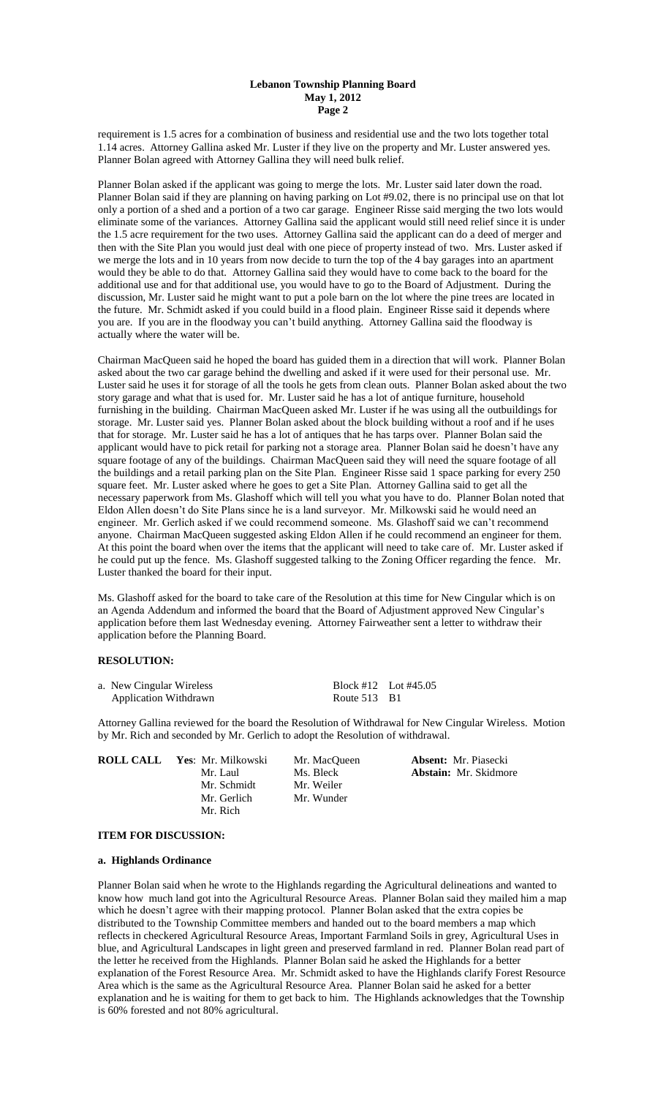## **Lebanon Township Planning Board May 1, 2012 Page 2**

requirement is 1.5 acres for a combination of business and residential use and the two lots together total 1.14 acres. Attorney Gallina asked Mr. Luster if they live on the property and Mr. Luster answered yes. Planner Bolan agreed with Attorney Gallina they will need bulk relief.

Planner Bolan asked if the applicant was going to merge the lots. Mr. Luster said later down the road. Planner Bolan said if they are planning on having parking on Lot #9.02, there is no principal use on that lot only a portion of a shed and a portion of a two car garage. Engineer Risse said merging the two lots would eliminate some of the variances. Attorney Gallina said the applicant would still need relief since it is under the 1.5 acre requirement for the two uses. Attorney Gallina said the applicant can do a deed of merger and then with the Site Plan you would just deal with one piece of property instead of two. Mrs. Luster asked if we merge the lots and in 10 years from now decide to turn the top of the 4 bay garages into an apartment would they be able to do that. Attorney Gallina said they would have to come back to the board for the additional use and for that additional use, you would have to go to the Board of Adjustment. During the discussion, Mr. Luster said he might want to put a pole barn on the lot where the pine trees are located in the future. Mr. Schmidt asked if you could build in a flood plain. Engineer Risse said it depends where you are. If you are in the floodway you can't build anything. Attorney Gallina said the floodway is actually where the water will be.

Chairman MacQueen said he hoped the board has guided them in a direction that will work. Planner Bolan asked about the two car garage behind the dwelling and asked if it were used for their personal use. Mr. Luster said he uses it for storage of all the tools he gets from clean outs. Planner Bolan asked about the two story garage and what that is used for. Mr. Luster said he has a lot of antique furniture, household furnishing in the building. Chairman MacQueen asked Mr. Luster if he was using all the outbuildings for storage. Mr. Luster said yes. Planner Bolan asked about the block building without a roof and if he uses that for storage. Mr. Luster said he has a lot of antiques that he has tarps over. Planner Bolan said the applicant would have to pick retail for parking not a storage area. Planner Bolan said he doesn't have any square footage of any of the buildings. Chairman MacQueen said they will need the square footage of all the buildings and a retail parking plan on the Site Plan. Engineer Risse said 1 space parking for every 250 square feet. Mr. Luster asked where he goes to get a Site Plan. Attorney Gallina said to get all the necessary paperwork from Ms. Glashoff which will tell you what you have to do. Planner Bolan noted that Eldon Allen doesn't do Site Plans since he is a land surveyor. Mr. Milkowski said he would need an engineer. Mr. Gerlich asked if we could recommend someone. Ms. Glashoff said we can't recommend anyone. Chairman MacQueen suggested asking Eldon Allen if he could recommend an engineer for them. At this point the board when over the items that the applicant will need to take care of. Mr. Luster asked if he could put up the fence. Ms. Glashoff suggested talking to the Zoning Officer regarding the fence. Mr. Luster thanked the board for their input.

Ms. Glashoff asked for the board to take care of the Resolution at this time for New Cingular which is on an Agenda Addendum and informed the board that the Board of Adjustment approved New Cingular's application before them last Wednesday evening. Attorney Fairweather sent a letter to withdraw their application before the Planning Board.

#### **RESOLUTION:**

| a. New Cingular Wireless     | Block #12 Lot #45.05 |  |
|------------------------------|----------------------|--|
| <b>Application Withdrawn</b> | Route 513 B1         |  |

Attorney Gallina reviewed for the board the Resolution of Withdrawal for New Cingular Wireless. Motion by Mr. Rich and seconded by Mr. Gerlich to adopt the Resolution of withdrawal.

| <b>ROLL CALL</b> | Yes: Mr. Milkowski | Mr. MacOueen |
|------------------|--------------------|--------------|
|                  | Mr. Laul           | Ms. Bleck    |
|                  | Mr. Schmidt        | Mr. Weiler   |
|                  | Mr. Gerlich        | Mr. Wunder   |
|                  | Mr. Rich           |              |

**Absent:** Mr. Piasecki Abstain: Mr. Skidmore

# **ITEM FOR DISCUSSION:**

#### **a. Highlands Ordinance**

Planner Bolan said when he wrote to the Highlands regarding the Agricultural delineations and wanted to know how much land got into the Agricultural Resource Areas. Planner Bolan said they mailed him a map which he doesn't agree with their mapping protocol. Planner Bolan asked that the extra copies be distributed to the Township Committee members and handed out to the board members a map which reflects in checkered Agricultural Resource Areas, Important Farmland Soils in grey, Agricultural Uses in blue, and Agricultural Landscapes in light green and preserved farmland in red. Planner Bolan read part of the letter he received from the Highlands. Planner Bolan said he asked the Highlands for a better explanation of the Forest Resource Area. Mr. Schmidt asked to have the Highlands clarify Forest Resource Area which is the same as the Agricultural Resource Area. Planner Bolan said he asked for a better explanation and he is waiting for them to get back to him. The Highlands acknowledges that the Township is 60% forested and not 80% agricultural.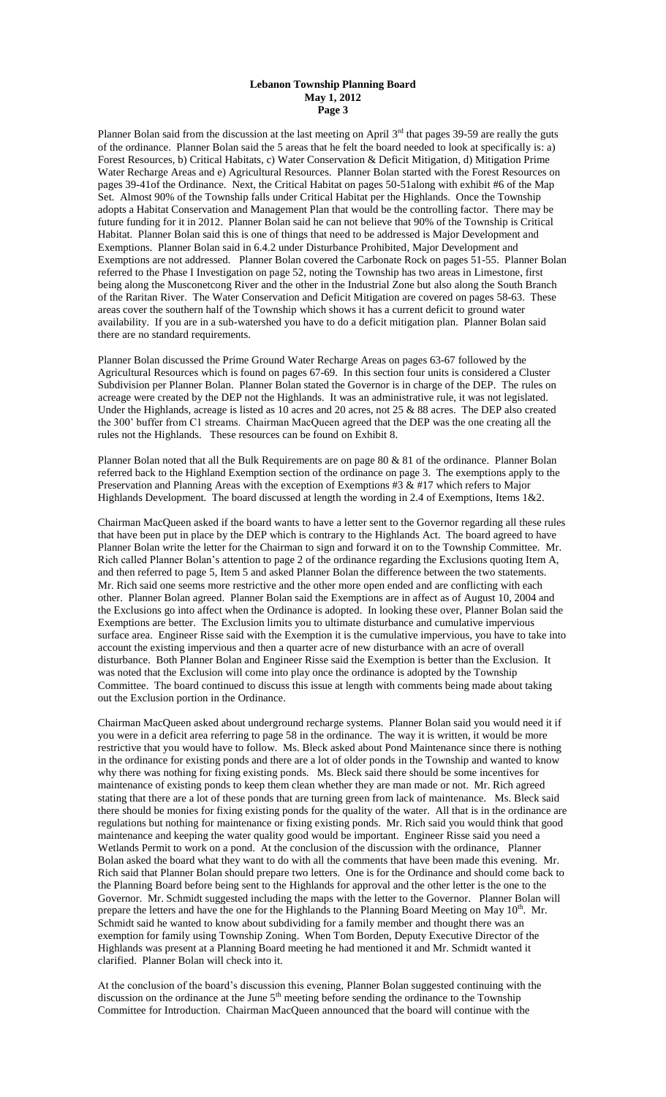## **Lebanon Township Planning Board May 1, 2012 Page 3**

Planner Bolan said from the discussion at the last meeting on April  $3<sup>rd</sup>$  that pages 39-59 are really the guts of the ordinance. Planner Bolan said the 5 areas that he felt the board needed to look at specifically is: a) Forest Resources, b) Critical Habitats, c) Water Conservation & Deficit Mitigation, d) Mitigation Prime Water Recharge Areas and e) Agricultural Resources. Planner Bolan started with the Forest Resources on pages 39-41of the Ordinance. Next, the Critical Habitat on pages 50-51along with exhibit #6 of the Map Set. Almost 90% of the Township falls under Critical Habitat per the Highlands. Once the Township adopts a Habitat Conservation and Management Plan that would be the controlling factor. There may be future funding for it in 2012. Planner Bolan said he can not believe that 90% of the Township is Critical Habitat. Planner Bolan said this is one of things that need to be addressed is Major Development and Exemptions. Planner Bolan said in 6.4.2 under Disturbance Prohibited, Major Development and Exemptions are not addressed. Planner Bolan covered the Carbonate Rock on pages 51-55. Planner Bolan referred to the Phase I Investigation on page 52, noting the Township has two areas in Limestone, first being along the Musconetcong River and the other in the Industrial Zone but also along the South Branch of the Raritan River. The Water Conservation and Deficit Mitigation are covered on pages 58-63. These areas cover the southern half of the Township which shows it has a current deficit to ground water availability. If you are in a sub-watershed you have to do a deficit mitigation plan. Planner Bolan said there are no standard requirements.

Planner Bolan discussed the Prime Ground Water Recharge Areas on pages 63-67 followed by the Agricultural Resources which is found on pages 67-69. In this section four units is considered a Cluster Subdivision per Planner Bolan. Planner Bolan stated the Governor is in charge of the DEP. The rules on acreage were created by the DEP not the Highlands. It was an administrative rule, it was not legislated. Under the Highlands, acreage is listed as 10 acres and 20 acres, not 25 & 88 acres. The DEP also created the 300' buffer from C1 streams. Chairman MacQueen agreed that the DEP was the one creating all the rules not the Highlands. These resources can be found on Exhibit 8.

Planner Bolan noted that all the Bulk Requirements are on page 80 & 81 of the ordinance. Planner Bolan referred back to the Highland Exemption section of the ordinance on page 3. The exemptions apply to the Preservation and Planning Areas with the exception of Exemptions #3  $\&$  #17 which refers to Major Highlands Development. The board discussed at length the wording in 2.4 of Exemptions, Items 1&2.

Chairman MacQueen asked if the board wants to have a letter sent to the Governor regarding all these rules that have been put in place by the DEP which is contrary to the Highlands Act. The board agreed to have Planner Bolan write the letter for the Chairman to sign and forward it on to the Township Committee. Mr. Rich called Planner Bolan's attention to page 2 of the ordinance regarding the Exclusions quoting Item A, and then referred to page 5, Item 5 and asked Planner Bolan the difference between the two statements. Mr. Rich said one seems more restrictive and the other more open ended and are conflicting with each other. Planner Bolan agreed. Planner Bolan said the Exemptions are in affect as of August 10, 2004 and the Exclusions go into affect when the Ordinance is adopted. In looking these over, Planner Bolan said the Exemptions are better. The Exclusion limits you to ultimate disturbance and cumulative impervious surface area. Engineer Risse said with the Exemption it is the cumulative impervious, you have to take into account the existing impervious and then a quarter acre of new disturbance with an acre of overall disturbance. Both Planner Bolan and Engineer Risse said the Exemption is better than the Exclusion. It was noted that the Exclusion will come into play once the ordinance is adopted by the Township Committee. The board continued to discuss this issue at length with comments being made about taking out the Exclusion portion in the Ordinance.

Chairman MacQueen asked about underground recharge systems. Planner Bolan said you would need it if you were in a deficit area referring to page 58 in the ordinance. The way it is written, it would be more restrictive that you would have to follow. Ms. Bleck asked about Pond Maintenance since there is nothing in the ordinance for existing ponds and there are a lot of older ponds in the Township and wanted to know why there was nothing for fixing existing ponds. Ms. Bleck said there should be some incentives for maintenance of existing ponds to keep them clean whether they are man made or not. Mr. Rich agreed stating that there are a lot of these ponds that are turning green from lack of maintenance. Ms. Bleck said there should be monies for fixing existing ponds for the quality of the water. All that is in the ordinance are regulations but nothing for maintenance or fixing existing ponds. Mr. Rich said you would think that good maintenance and keeping the water quality good would be important. Engineer Risse said you need a Wetlands Permit to work on a pond. At the conclusion of the discussion with the ordinance, Planner Bolan asked the board what they want to do with all the comments that have been made this evening. Mr. Rich said that Planner Bolan should prepare two letters. One is for the Ordinance and should come back to the Planning Board before being sent to the Highlands for approval and the other letter is the one to the Governor. Mr. Schmidt suggested including the maps with the letter to the Governor. Planner Bolan will prepare the letters and have the one for the Highlands to the Planning Board Meeting on May  $10<sup>th</sup>$ . Mr. Schmidt said he wanted to know about subdividing for a family member and thought there was an exemption for family using Township Zoning. When Tom Borden, Deputy Executive Director of the Highlands was present at a Planning Board meeting he had mentioned it and Mr. Schmidt wanted it clarified. Planner Bolan will check into it.

At the conclusion of the board's discussion this evening, Planner Bolan suggested continuing with the discussion on the ordinance at the June  $5<sup>th</sup>$  meeting before sending the ordinance to the Township Committee for Introduction. Chairman MacQueen announced that the board will continue with the